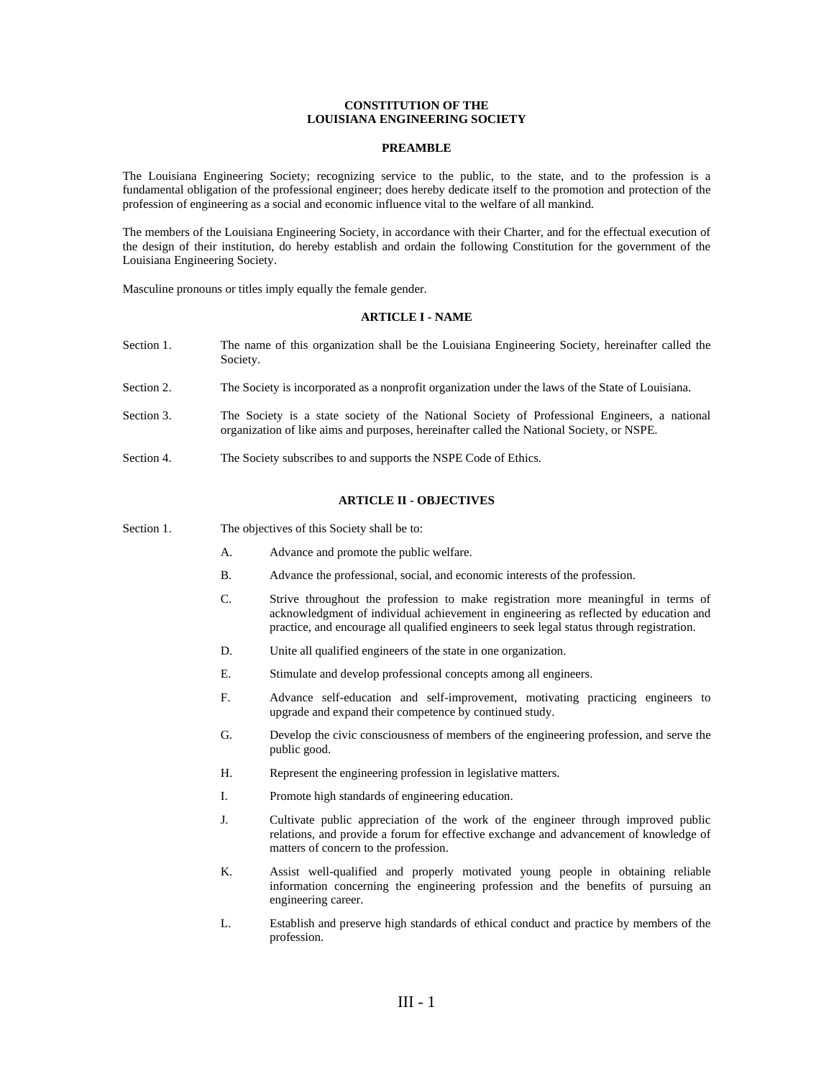## **CONSTITUTION OF THE LOUISIANA ENGINEERING SOCIETY**

### **PREAMBLE**

The Louisiana Engineering Society; recognizing service to the public, to the state, and to the profession is a fundamental obligation of the professional engineer; does hereby dedicate itself to the promotion and protection of the profession of engineering as a social and economic influence vital to the welfare of all mankind.

The members of the Louisiana Engineering Society, in accordance with their Charter, and for the effectual execution of the design of their institution, do hereby establish and ordain the following Constitution for the government of the Louisiana Engineering Society.

Masculine pronouns or titles imply equally the female gender.

### **ARTICLE I - NAME**

- Section 1. The name of this organization shall be the Louisiana Engineering Society, hereinafter called the Society.
- Section 2. The Society is incorporated as a nonprofit organization under the laws of the State of Louisiana.
- Section 3. The Society is a state society of the National Society of Professional Engineers, a national organization of like aims and purposes, hereinafter called the National Society, or NSPE.
- Section 4. The Society subscribes to and supports the NSPE Code of Ethics.

## **ARTICLE II - OBJECTIVES**

- Section 1. The objectives of this Society shall be to:
	- A. Advance and promote the public welfare.
	- B. Advance the professional, social, and economic interests of the profession.
	- C. Strive throughout the profession to make registration more meaningful in terms of acknowledgment of individual achievement in engineering as reflected by education and practice, and encourage all qualified engineers to seek legal status through registration.
	- D. Unite all qualified engineers of the state in one organization.
	- E. Stimulate and develop professional concepts among all engineers.
	- F. Advance self-education and self-improvement, motivating practicing engineers to upgrade and expand their competence by continued study.
	- G. Develop the civic consciousness of members of the engineering profession, and serve the public good.
	- H. Represent the engineering profession in legislative matters.
	- I. Promote high standards of engineering education.
	- J. Cultivate public appreciation of the work of the engineer through improved public relations, and provide a forum for effective exchange and advancement of knowledge of matters of concern to the profession.
	- K. Assist well-qualified and properly motivated young people in obtaining reliable information concerning the engineering profession and the benefits of pursuing an engineering career.
	- L. Establish and preserve high standards of ethical conduct and practice by members of the profession.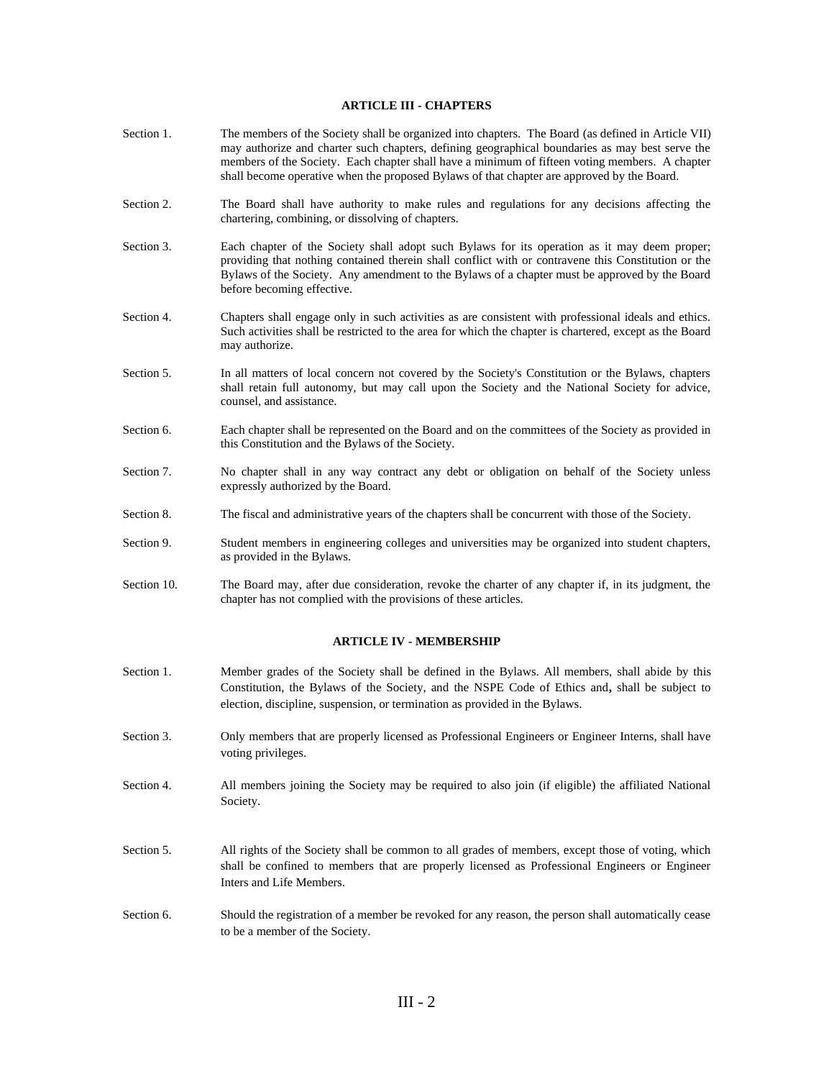### **ARTICLE III - CHAPTERS**

- Section 1. The members of the Society shall be organized into chapters. The Board (as defined in Article VII) may authorize and charter such chapters, defining geographical boundaries as may best serve the members of the Society. Each chapter shall have a minimum of fifteen voting members. A chapter shall become operative when the proposed Bylaws of that chapter are approved by the Board.
- Section 2. The Board shall have authority to make rules and regulations for any decisions affecting the chartering, combining, or dissolving of chapters.
- Section 3. Each chapter of the Society shall adopt such Bylaws for its operation as it may deem proper; providing that nothing contained therein shall conflict with or contravene this Constitution or the Bylaws of the Society. Any amendment to the Bylaws of a chapter must be approved by the Board before becoming effective.
- Section 4. Chapters shall engage only in such activities as are consistent with professional ideals and ethics. Such activities shall be restricted to the area for which the chapter is chartered, except as the Board may authorize.
- Section 5. In all matters of local concern not covered by the Society's Constitution or the Bylaws, chapters shall retain full autonomy, but may call upon the Society and the National Society for advice, counsel, and assistance.
- Section 6. Each chapter shall be represented on the Board and on the committees of the Society as provided in this Constitution and the Bylaws of the Society.
- Section 7. No chapter shall in any way contract any debt or obligation on behalf of the Society unless expressly authorized by the Board.
- Section 8. The fiscal and administrative years of the chapters shall be concurrent with those of the Society.
- Section 9. Student members in engineering colleges and universities may be organized into student chapters, as provided in the Bylaws.
- Section 10. The Board may, after due consideration, revoke the charter of any chapter if, in its judgment, the chapter has not complied with the provisions of these articles.

### **ARTICLE IV - MEMBERSHIP**

- Section 1. Member grades of the Society shall be defined in the Bylaws. All members, shall abide by this Constitution, the Bylaws of the Society, and the NSPE Code of Ethics and**,** shall be subject to election, discipline, suspension, or termination as provided in the Bylaws.
- Section 3. Only members that are properly licensed as Professional Engineers or Engineer Interns, shall have voting privileges.
- Section 4. All members joining the Society may be required to also join (if eligible) the affiliated National Society.
- Section 5. All rights of the Society shall be common to all grades of members, except those of voting, which shall be confined to members that are properly licensed as Professional Engineers or Engineer Inters and Life Members.
- Section 6. Should the registration of a member be revoked for any reason, the person shall automatically cease to be a member of the Society.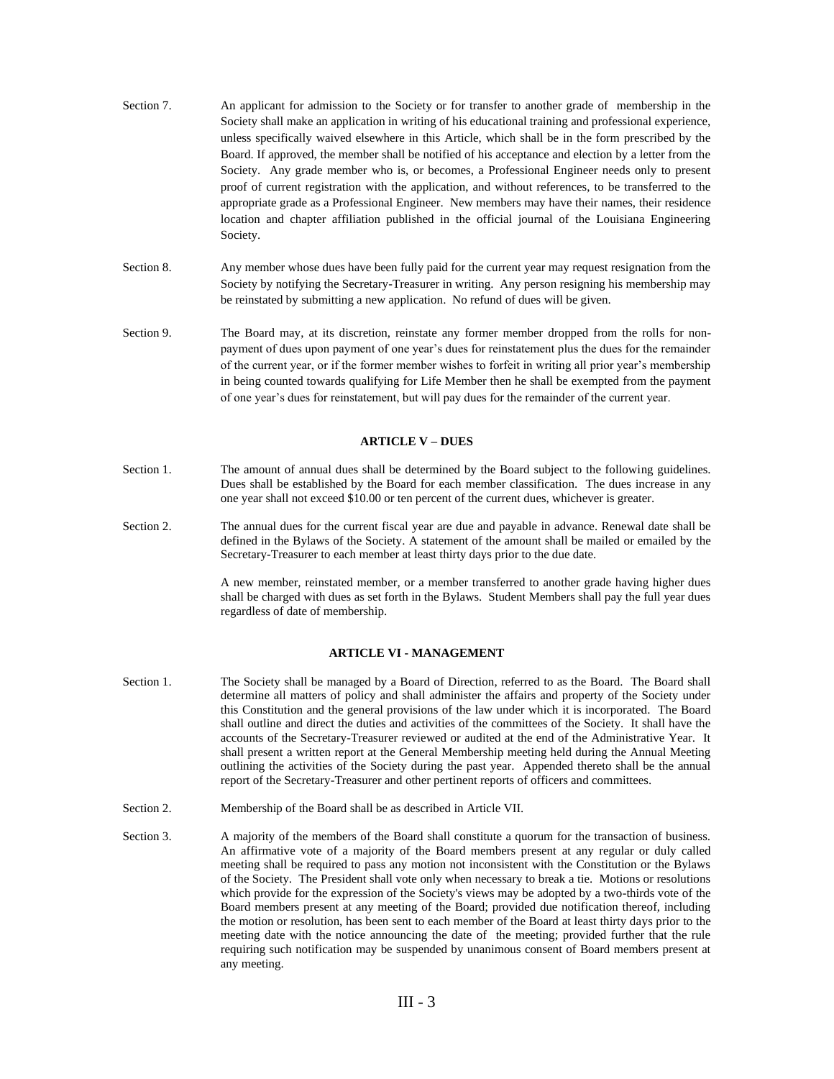- Section 7. An applicant for admission to the Society or for transfer to another grade of membership in the Society shall make an application in writing of his educational training and professional experience, unless specifically waived elsewhere in this Article, which shall be in the form prescribed by the Board. If approved, the member shall be notified of his acceptance and election by a letter from the Society. Any grade member who is, or becomes, a Professional Engineer needs only to present proof of current registration with the application, and without references, to be transferred to the appropriate grade as a Professional Engineer. New members may have their names, their residence location and chapter affiliation published in the official journal of the Louisiana Engineering Society.
- Section 8. Any member whose dues have been fully paid for the current year may request resignation from the Society by notifying the Secretary-Treasurer in writing. Any person resigning his membership may be reinstated by submitting a new application. No refund of dues will be given.
- Section 9. The Board may, at its discretion, reinstate any former member dropped from the rolls for nonpayment of dues upon payment of one year's dues for reinstatement plus the dues for the remainder of the current year, or if the former member wishes to forfeit in writing all prior year's membership in being counted towards qualifying for Life Member then he shall be exempted from the payment of one year's dues for reinstatement, but will pay dues for the remainder of the current year.

### **ARTICLE V – DUES**

- Section 1. The amount of annual dues shall be determined by the Board subject to the following guidelines. Dues shall be established by the Board for each member classification. The dues increase in any one year shall not exceed \$10.00 or ten percent of the current dues, whichever is greater.
- Section 2. The annual dues for the current fiscal year are due and payable in advance. Renewal date shall be defined in the Bylaws of the Society. A statement of the amount shall be mailed or emailed by the Secretary-Treasurer to each member at least thirty days prior to the due date.

A new member, reinstated member, or a member transferred to another grade having higher dues shall be charged with dues as set forth in the Bylaws. Student Members shall pay the full year dues regardless of date of membership.

## **ARTICLE VI - MANAGEMENT**

- Section 1. The Society shall be managed by a Board of Direction, referred to as the Board. The Board shall determine all matters of policy and shall administer the affairs and property of the Society under this Constitution and the general provisions of the law under which it is incorporated. The Board shall outline and direct the duties and activities of the committees of the Society. It shall have the accounts of the Secretary-Treasurer reviewed or audited at the end of the Administrative Year. It shall present a written report at the General Membership meeting held during the Annual Meeting outlining the activities of the Society during the past year. Appended thereto shall be the annual report of the Secretary-Treasurer and other pertinent reports of officers and committees.
- Section 2. Membership of the Board shall be as described in Article VII.
- Section 3. A majority of the members of the Board shall constitute a quorum for the transaction of business. An affirmative vote of a majority of the Board members present at any regular or duly called meeting shall be required to pass any motion not inconsistent with the Constitution or the Bylaws of the Society. The President shall vote only when necessary to break a tie. Motions or resolutions which provide for the expression of the Society's views may be adopted by a two-thirds vote of the Board members present at any meeting of the Board; provided due notification thereof, including the motion or resolution, has been sent to each member of the Board at least thirty days prior to the meeting date with the notice announcing the date of the meeting; provided further that the rule requiring such notification may be suspended by unanimous consent of Board members present at any meeting.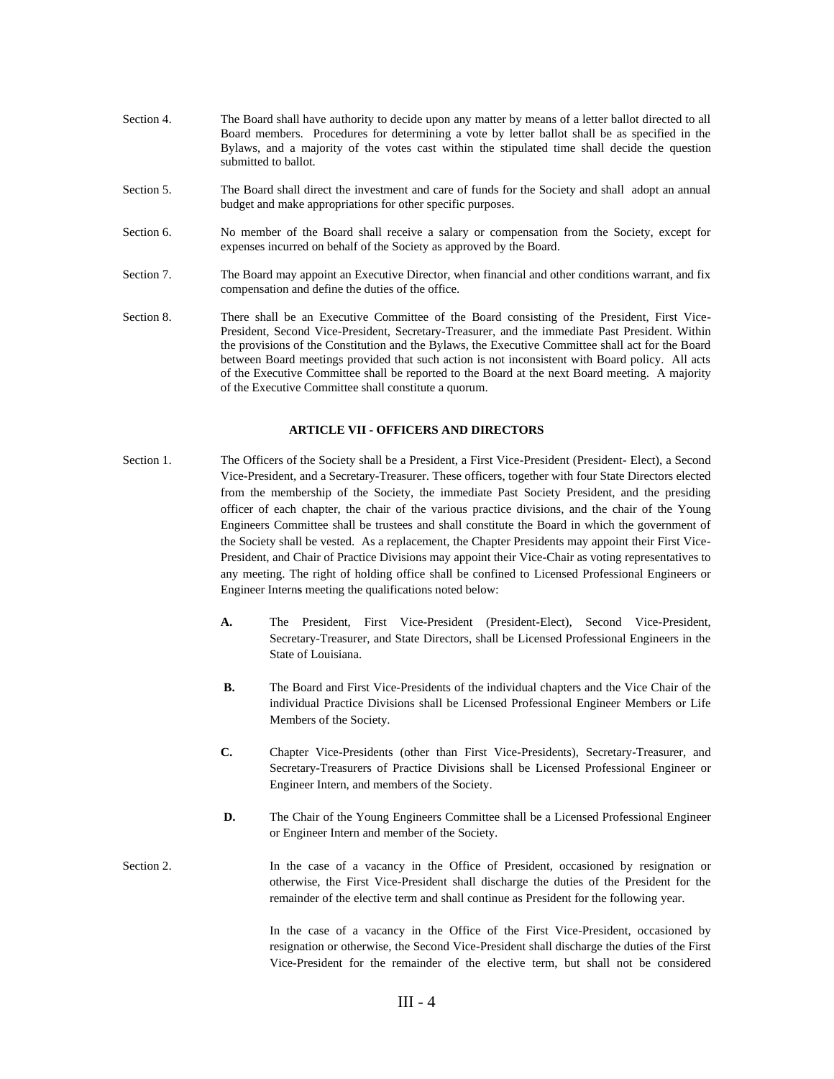- Section 4. The Board shall have authority to decide upon any matter by means of a letter ballot directed to all Board members. Procedures for determining a vote by letter ballot shall be as specified in the Bylaws, and a majority of the votes cast within the stipulated time shall decide the question submitted to ballot.
- Section 5. The Board shall direct the investment and care of funds for the Society and shall adopt an annual budget and make appropriations for other specific purposes.
- Section 6. No member of the Board shall receive a salary or compensation from the Society, except for expenses incurred on behalf of the Society as approved by the Board.
- Section 7. The Board may appoint an Executive Director, when financial and other conditions warrant, and fix compensation and define the duties of the office.
- Section 8. There shall be an Executive Committee of the Board consisting of the President, First Vice-President, Second Vice-President, Secretary-Treasurer, and the immediate Past President. Within the provisions of the Constitution and the Bylaws, the Executive Committee shall act for the Board between Board meetings provided that such action is not inconsistent with Board policy. All acts of the Executive Committee shall be reported to the Board at the next Board meeting. A majority of the Executive Committee shall constitute a quorum.

### **ARTICLE VII - OFFICERS AND DIRECTORS**

- Section 1. The Officers of the Society shall be a President, a First Vice-President (President- Elect), a Second Vice-President, and a Secretary-Treasurer. These officers, together with four State Directors elected from the membership of the Society, the immediate Past Society President, and the presiding officer of each chapter, the chair of the various practice divisions, and the chair of the Young Engineers Committee shall be trustees and shall constitute the Board in which the government of the Society shall be vested. As a replacement, the Chapter Presidents may appoint their First Vice-President, and Chair of Practice Divisions may appoint their Vice-Chair as voting representatives to any meeting. The right of holding office shall be confined to Licensed Professional Engineers or Engineer Intern**s** meeting the qualifications noted below:
	- **A.** The President, First Vice-President (President-Elect), Second Vice-President, Secretary-Treasurer, and State Directors, shall be Licensed Professional Engineers in the State of Louisiana.
	- **B.** The Board and First Vice-Presidents of the individual chapters and the Vice Chair of the individual Practice Divisions shall be Licensed Professional Engineer Members or Life Members of the Society.
	- **C.** Chapter Vice-Presidents (other than First Vice-Presidents), Secretary-Treasurer, and Secretary-Treasurers of Practice Divisions shall be Licensed Professional Engineer or Engineer Intern, and members of the Society.
	- **D.** The Chair of the Young Engineers Committee shall be a Licensed Professional Engineer or Engineer Intern and member of the Society.
- Section 2. In the case of a vacancy in the Office of President, occasioned by resignation or otherwise, the First Vice-President shall discharge the duties of the President for the remainder of the elective term and shall continue as President for the following year.

In the case of a vacancy in the Office of the First Vice-President, occasioned by resignation or otherwise, the Second Vice-President shall discharge the duties of the First Vice-President for the remainder of the elective term, but shall not be considered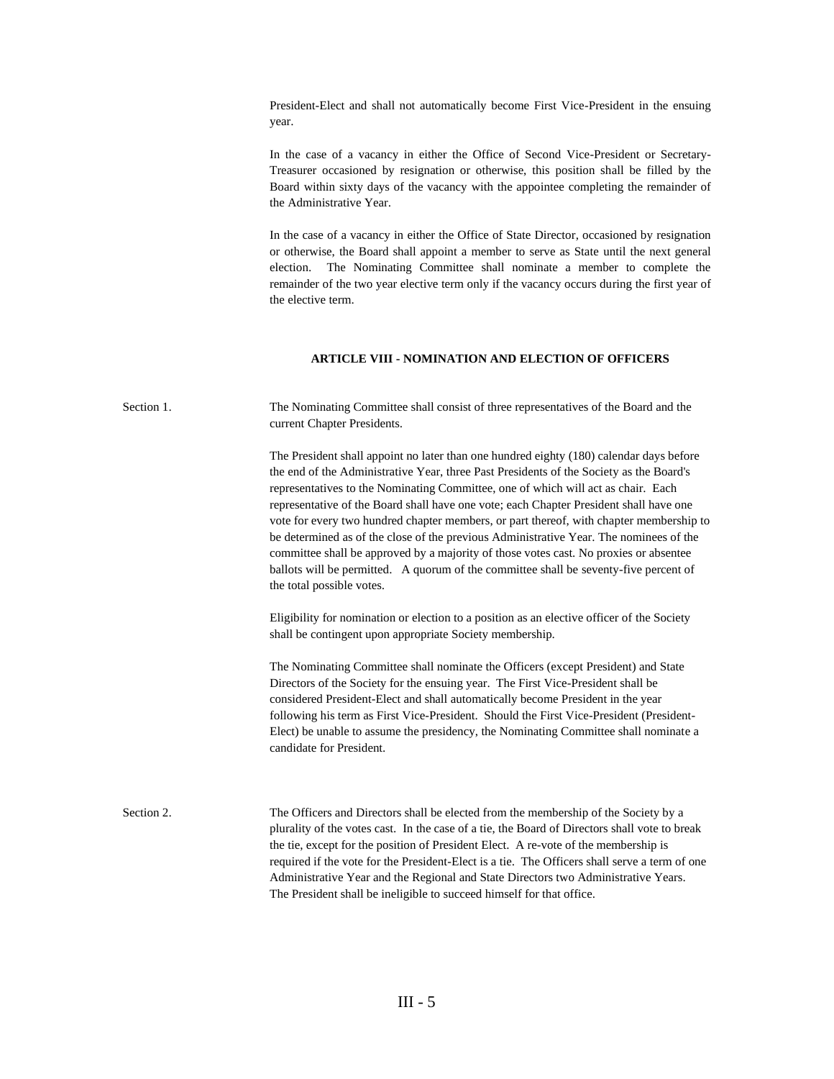President-Elect and shall not automatically become First Vice-President in the ensuing year.

In the case of a vacancy in either the Office of Second Vice-President or Secretary-Treasurer occasioned by resignation or otherwise, this position shall be filled by the Board within sixty days of the vacancy with the appointee completing the remainder of the Administrative Year.

In the case of a vacancy in either the Office of State Director, occasioned by resignation or otherwise, the Board shall appoint a member to serve as State until the next general election. The Nominating Committee shall nominate a member to complete the remainder of the two year elective term only if the vacancy occurs during the first year of the elective term.

# **ARTICLE VIII - NOMINATION AND ELECTION OF OFFICERS**

Section 1. The Nominating Committee shall consist of three representatives of the Board and the current Chapter Presidents.

> The President shall appoint no later than one hundred eighty (180) calendar days before the end of the Administrative Year, three Past Presidents of the Society as the Board's representatives to the Nominating Committee, one of which will act as chair. Each representative of the Board shall have one vote; each Chapter President shall have one vote for every two hundred chapter members, or part thereof, with chapter membership to be determined as of the close of the previous Administrative Year. The nominees of the committee shall be approved by a majority of those votes cast. No proxies or absentee ballots will be permitted. A quorum of the committee shall be seventy-five percent of the total possible votes.

Eligibility for nomination or election to a position as an elective officer of the Society shall be contingent upon appropriate Society membership.

The Nominating Committee shall nominate the Officers (except President) and State Directors of the Society for the ensuing year. The First Vice-President shall be considered President-Elect and shall automatically become President in the year following his term as First Vice-President. Should the First Vice-President (President-Elect) be unable to assume the presidency, the Nominating Committee shall nominate a candidate for President.

Section 2. The Officers and Directors shall be elected from the membership of the Society by a plurality of the votes cast. In the case of a tie, the Board of Directors shall vote to break the tie, except for the position of President Elect. A re-vote of the membership is required if the vote for the President-Elect is a tie. The Officers shall serve a term of one Administrative Year and the Regional and State Directors two Administrative Years. The President shall be ineligible to succeed himself for that office.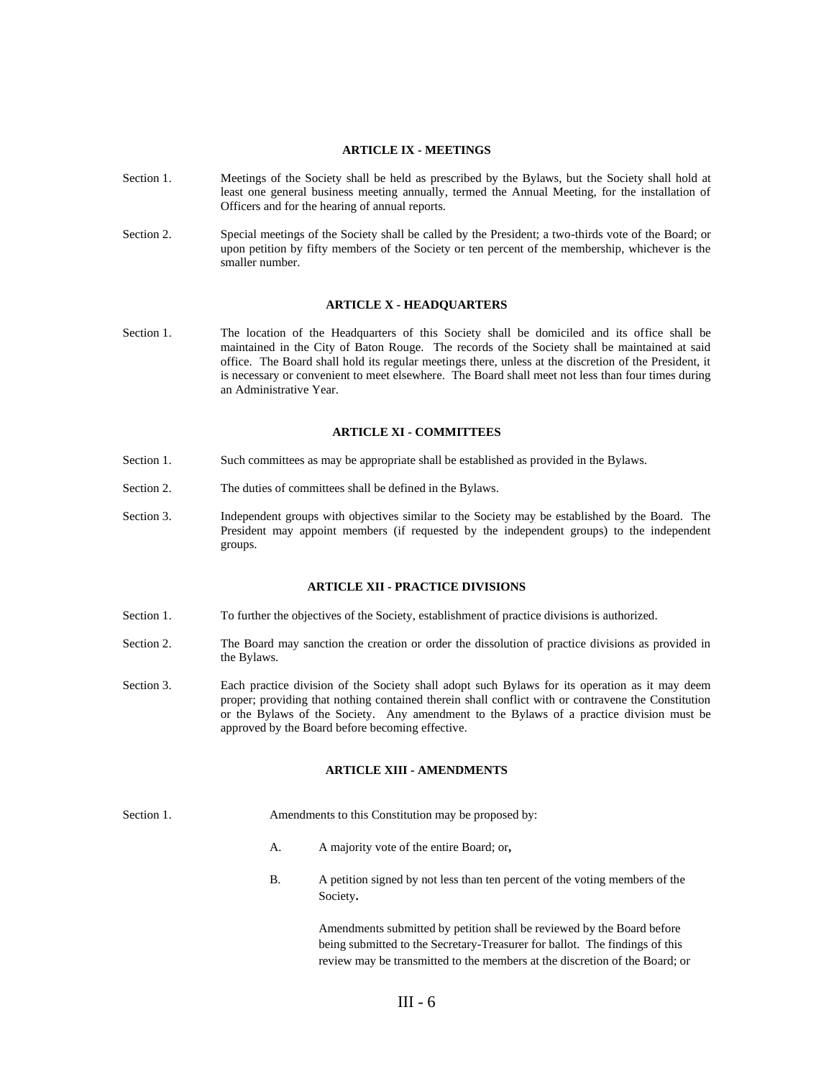## **ARTICLE IX - MEETINGS**

- Section 1. Meetings of the Society shall be held as prescribed by the Bylaws, but the Society shall hold at least one general business meeting annually, termed the Annual Meeting, for the installation of Officers and for the hearing of annual reports.
- Section 2. Special meetings of the Society shall be called by the President; a two-thirds vote of the Board; or upon petition by fifty members of the Society or ten percent of the membership, whichever is the smaller number.

#### **ARTICLE X - HEADQUARTERS**

Section 1. The location of the Headquarters of this Society shall be domiciled and its office shall be maintained in the City of Baton Rouge. The records of the Society shall be maintained at said office. The Board shall hold its regular meetings there, unless at the discretion of the President, it is necessary or convenient to meet elsewhere. The Board shall meet not less than four times during an Administrative Year.

### **ARTICLE XI - COMMITTEES**

- Section 1. Such committees as may be appropriate shall be established as provided in the Bylaws.
- Section 2. The duties of committees shall be defined in the Bylaws.
- Section 3. Independent groups with objectives similar to the Society may be established by the Board. The President may appoint members (if requested by the independent groups) to the independent groups.

### **ARTICLE XII - PRACTICE DIVISIONS**

- Section 1. To further the objectives of the Society, establishment of practice divisions is authorized.
- Section 2. The Board may sanction the creation or order the dissolution of practice divisions as provided in the Bylaws.
- Section 3. Each practice division of the Society shall adopt such Bylaws for its operation as it may deem proper; providing that nothing contained therein shall conflict with or contravene the Constitution or the Bylaws of the Society. Any amendment to the Bylaws of a practice division must be approved by the Board before becoming effective.

### **ARTICLE XIII - AMENDMENTS**

- Section 1. Amendments to this Constitution may be proposed by:
	- A. A majority vote of the entire Board; or**,**
	- B. A petition signed by not less than ten percent of the voting members of the Society**.**

Amendments submitted by petition shall be reviewed by the Board before being submitted to the Secretary-Treasurer for ballot. The findings of this review may be transmitted to the members at the discretion of the Board; or